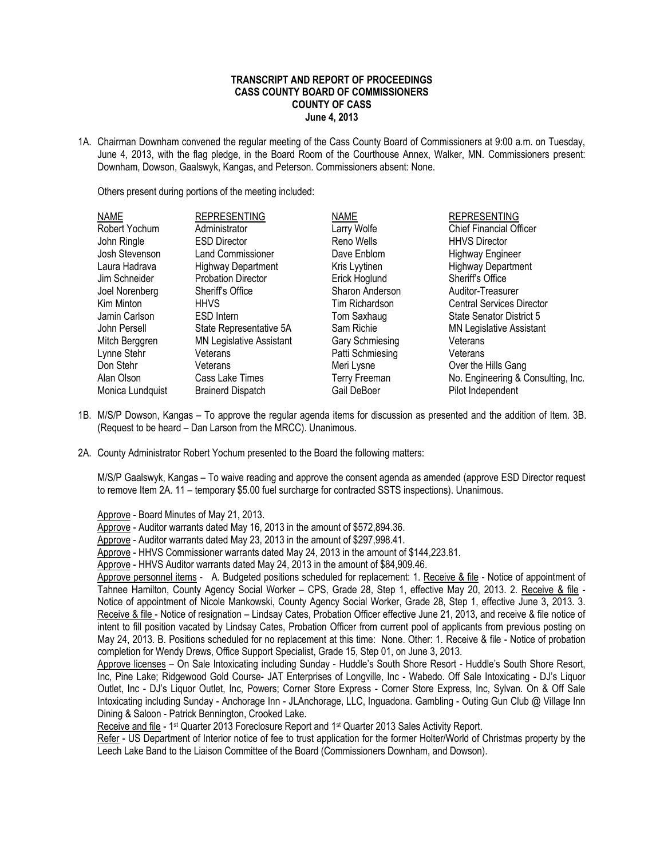## **TRANSCRIPT AND REPORT OF PROCEEDINGS CASS COUNTY BOARD OF COMMISSIONERS COUNTY OF CASS June 4, 2013**

1A. Chairman Downham convened the regular meeting of the Cass County Board of Commissioners at 9:00 a.m. on Tuesday, June 4, 2013, with the flag pledge, in the Board Room of the Courthouse Annex, Walker, MN. Commissioners present: Downham, Dowson, Gaalswyk, Kangas, and Peterson. Commissioners absent: None.

Others present during portions of the meeting included:

| <b>NAME</b>      | <b>REPRESENTING</b>             | <b>NAME</b>          | <b>REPRESENTING</b>                |
|------------------|---------------------------------|----------------------|------------------------------------|
| Robert Yochum    | Administrator                   | Larry Wolfe          | <b>Chief Financial Officer</b>     |
| John Ringle      | <b>ESD Director</b>             | Reno Wells           | <b>HHVS Director</b>               |
| Josh Stevenson   | Land Commissioner               | Dave Enblom          | <b>Highway Engineer</b>            |
| Laura Hadrava    | <b>Highway Department</b>       | Kris Lyytinen        | <b>Highway Department</b>          |
| Jim Schneider    | <b>Probation Director</b>       | Erick Hoglund        | Sheriff's Office                   |
| Joel Norenberg   | Sheriff's Office                | Sharon Anderson      | Auditor-Treasurer                  |
| Kim Minton       | <b>HHVS</b>                     | Tim Richardson       | <b>Central Services Director</b>   |
| Jamin Carlson    | ESD Intern                      | Tom Saxhaug          | <b>State Senator District 5</b>    |
| John Persell     | State Representative 5A         | Sam Richie           | <b>MN Legislative Assistant</b>    |
| Mitch Berggren   | <b>MN Legislative Assistant</b> | Gary Schmiesing      | Veterans                           |
| Lynne Stehr      | Veterans                        | Patti Schmiesing     | Veterans                           |
| Don Stehr        | Veterans                        | Meri Lysne           | Over the Hills Gang                |
| Alan Olson       | Cass Lake Times                 | <b>Terry Freeman</b> | No. Engineering & Consulting, Inc. |
| Monica Lundquist | <b>Brainerd Dispatch</b>        | Gail DeBoer          | Pilot Independent                  |

- 1B. M/S/P Dowson, Kangas To approve the regular agenda items for discussion as presented and the addition of Item. 3B. (Request to be heard – Dan Larson from the MRCC). Unanimous.
- 2A. County Administrator Robert Yochum presented to the Board the following matters:

M/S/P Gaalswyk, Kangas – To waive reading and approve the consent agenda as amended (approve ESD Director request to remove Item 2A. 11 – temporary \$5.00 fuel surcharge for contracted SSTS inspections). Unanimous.

Approve - Board Minutes of May 21, 2013.

Approve - Auditor warrants dated May 16, 2013 in the amount of \$572,894.36.

Approve - Auditor warrants dated May 23, 2013 in the amount of \$297,998.41.

Approve - HHVS Commissioner warrants dated May 24, 2013 in the amount of \$144,223.81.

Approve - HHVS Auditor warrants dated May 24, 2013 in the amount of \$84,909.46.

Approve personnel items - A. Budgeted positions scheduled for replacement: 1. Receive & file - Notice of appointment of Tahnee Hamilton, County Agency Social Worker – CPS, Grade 28, Step 1, effective May 20, 2013. 2. Receive & file -Notice of appointment of Nicole Mankowski, County Agency Social Worker, Grade 28, Step 1, effective June 3, 2013. 3. Receive & file - Notice of resignation – Lindsay Cates, Probation Officer effective June 21, 2013, and receive & file notice of intent to fill position vacated by Lindsay Cates, Probation Officer from current pool of applicants from previous posting on May 24, 2013. B. Positions scheduled for no replacement at this time: None. Other: 1. Receive & file - Notice of probation completion for Wendy Drews, Office Support Specialist, Grade 15, Step 01, on June 3, 2013.

Approve licenses – On Sale Intoxicating including Sunday - Huddle's South Shore Resort - Huddle's South Shore Resort, Inc, Pine Lake; Ridgewood Gold Course- JAT Enterprises of Longville, Inc - Wabedo. Off Sale Intoxicating - DJ's Liquor Outlet, Inc - DJ's Liquor Outlet, Inc, Powers; Corner Store Express - Corner Store Express, Inc, Sylvan. On & Off Sale Intoxicating including Sunday - Anchorage Inn - JLAnchorage, LLC, Inguadona. Gambling - Outing Gun Club @ Village Inn Dining & Saloon - Patrick Bennington, Crooked Lake.

Receive and file - 1<sup>st</sup> Quarter 2013 Foreclosure Report and 1<sup>st</sup> Quarter 2013 Sales Activity Report.

Refer - US Department of Interior notice of fee to trust application for the former Holter/World of Christmas property by the Leech Lake Band to the Liaison Committee of the Board (Commissioners Downham, and Dowson).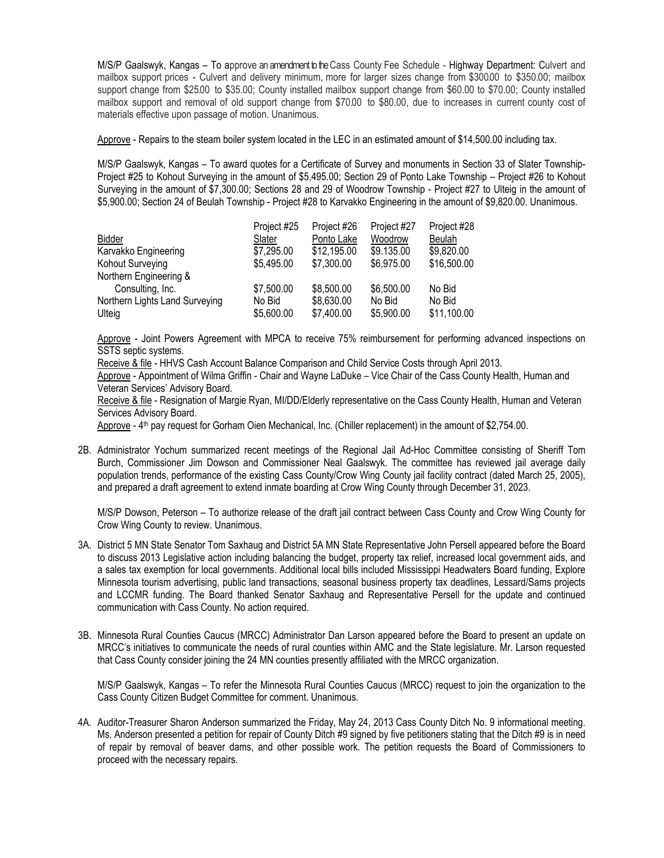M/S/P Gaalswyk, Kangas – To approve an amendment to the Cass County Fee Schedule - Highway Department: Culvert and mailbox support prices - Culvert and delivery minimum, more for larger sizes change from \$300.00 to \$350.00; mailbox support change from \$25.00 to \$35.00; County installed mailbox support change from \$60.00 to \$70.00; County installed mailbox support and removal of old support change from \$70.00 to \$80.00, due to increases in current county cost of materials effective upon passage of motion. Unanimous.

Approve - Repairs to the steam boiler system located in the LEC in an estimated amount of \$14,500.00 including tax.

M/S/P Gaalswyk, Kangas – To award quotes for a Certificate of Survey and monuments in Section 33 of Slater Township-Project #25 to Kohout Surveying in the amount of \$5,495.00; Section 29 of Ponto Lake Township – Project #26 to Kohout Surveying in the amount of \$7,300.00; Sections 28 and 29 of Woodrow Township - Project #27 to Ulteig in the amount of \$5,900.00; Section 24 of Beulah Township - Project #28 to Karvakko Engineering in the amount of \$9,820.00. Unanimous.

| Bidder<br>Karvakko Engineering<br>Kohout Surveying | Project #25<br>Slater<br>\$7,295.00<br>\$5,495.00 | Project #26<br>Ponto Lake<br>\$12,195.00<br>\$7,300.00 | Project #27<br>Woodrow<br>\$9.135.00<br>\$6,975.00 | Project #28<br><b>Beulah</b><br>\$9,820.00<br>\$16,500.00 |
|----------------------------------------------------|---------------------------------------------------|--------------------------------------------------------|----------------------------------------------------|-----------------------------------------------------------|
| Northern Engineering &<br>Consulting, Inc.         | \$7,500.00                                        | \$8,500.00                                             | \$6,500.00                                         | No Bid                                                    |
| Northern Lights Land Surveying<br>Ulteig           | No Bid<br>\$5,600.00                              | \$8,630.00<br>\$7,400.00                               | No Bid<br>\$5,900.00                               | No Bid<br>\$11,100.00                                     |

Approve - Joint Powers Agreement with MPCA to receive 75% reimbursement for performing advanced inspections on SSTS septic systems.

Receive & file - HHVS Cash Account Balance Comparison and Child Service Costs through April 2013.

Approve - Appointment of Wilma Griffin - Chair and Wayne LaDuke - Vice Chair of the Cass County Health, Human and Veteran Services' Advisory Board.

Receive & file - Resignation of Margie Ryan, MI/DD/Elderly representative on the Cass County Health, Human and Veteran Services Advisory Board.

Approve - 4<sup>th</sup> pay request for Gorham Oien Mechanical, Inc. (Chiller replacement) in the amount of \$2,754.00.

2B. Administrator Yochum summarized recent meetings of the Regional Jail Ad-Hoc Committee consisting of Sheriff Tom Burch, Commissioner Jim Dowson and Commissioner Neal Gaalswyk. The committee has reviewed jail average daily population trends, performance of the existing Cass County/Crow Wing County jail facility contract (dated March 25, 2005), and prepared a draft agreement to extend inmate boarding at Crow Wing County through December 31, 2023.

M/S/P Dowson, Peterson – To authorize release of the draft jail contract between Cass County and Crow Wing County for Crow Wing County to review. Unanimous.

- 3A. District 5 MN State Senator Tom Saxhaug and District 5A MN State Representative John Persell appeared before the Board to discuss 2013 Legislative action including balancing the budget, property tax relief, increased local government aids, and a sales tax exemption for local governments. Additional local bills included Mississippi Headwaters Board funding, Explore Minnesota tourism advertising, public land transactions, seasonal business property tax deadlines, Lessard/Sams projects and LCCMR funding. The Board thanked Senator Saxhaug and Representative Persell for the update and continued communication with Cass County. No action required.
- 3B. Minnesota Rural Counties Caucus (MRCC) Administrator Dan Larson appeared before the Board to present an update on MRCC's initiatives to communicate the needs of rural counties within AMC and the State legislature. Mr. Larson requested that Cass County consider joining the 24 MN counties presently affiliated with the MRCC organization.

M/S/P Gaalswyk, Kangas – To refer the Minnesota Rural Counties Caucus (MRCC) request to join the organization to the Cass County Citizen Budget Committee for comment. Unanimous.

4A. Auditor-Treasurer Sharon Anderson summarized the Friday, May 24, 2013 Cass County Ditch No. 9 informational meeting. Ms. Anderson presented a petition for repair of County Ditch #9 signed by five petitioners stating that the Ditch #9 is in need of repair by removal of beaver dams, and other possible work. The petition requests the Board of Commissioners to proceed with the necessary repairs.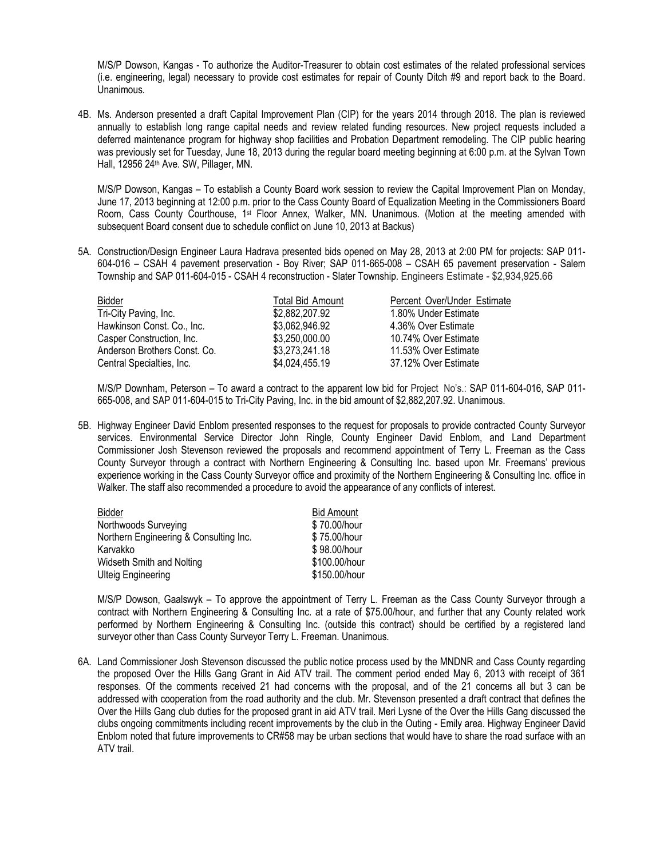M/S/P Dowson, Kangas - To authorize the Auditor-Treasurer to obtain cost estimates of the related professional services (i.e. engineering, legal) necessary to provide cost estimates for repair of County Ditch #9 and report back to the Board. Unanimous.

4B. Ms. Anderson presented a draft Capital Improvement Plan (CIP) for the years 2014 through 2018. The plan is reviewed annually to establish long range capital needs and review related funding resources. New project requests included a deferred maintenance program for highway shop facilities and Probation Department remodeling. The CIP public hearing was previously set for Tuesday, June 18, 2013 during the regular board meeting beginning at 6:00 p.m. at the Sylvan Town Hall, 12956 24<sup>th</sup> Ave. SW, Pillager, MN.

M/S/P Dowson, Kangas – To establish a County Board work session to review the Capital Improvement Plan on Monday, June 17, 2013 beginning at 12:00 p.m. prior to the Cass County Board of Equalization Meeting in the Commissioners Board Room, Cass County Courthouse, 1st Floor Annex, Walker, MN. Unanimous. (Motion at the meeting amended with subsequent Board consent due to schedule conflict on June 10, 2013 at Backus)

5A. Construction/Design Engineer Laura Hadrava presented bids opened on May 28, 2013 at 2:00 PM for projects: SAP 011- 604-016 – CSAH 4 pavement preservation - Boy River; SAP 011-665-008 – CSAH 65 pavement preservation - Salem Township and SAP 011-604-015 - CSAH 4 reconstruction - Slater Township. Engineers Estimate - \$2,934,925.66

| <b>Total Bid Amount</b> | Percent Over/Under Estimate |  |
|-------------------------|-----------------------------|--|
| \$2,882,207.92          | 1.80% Under Estimate        |  |
| \$3,062,946.92          | 4.36% Over Estimate         |  |
| \$3,250,000.00          | 10.74% Over Estimate        |  |
| \$3,273,241.18          | 11.53% Over Estimate        |  |
| \$4,024,455.19          | 37.12% Over Estimate        |  |
|                         |                             |  |

M/S/P Downham, Peterson – To award a contract to the apparent low bid for Project No's.: SAP 011-604-016, SAP 011- 665-008, and SAP 011-604-015 to Tri-City Paving, Inc. in the bid amount of \$2,882,207.92. Unanimous.

5B. Highway Engineer David Enblom presented responses to the request for proposals to provide contracted County Surveyor services. Environmental Service Director John Ringle, County Engineer David Enblom, and Land Department Commissioner Josh Stevenson reviewed the proposals and recommend appointment of Terry L. Freeman as the Cass County Surveyor through a contract with Northern Engineering & Consulting Inc. based upon Mr. Freemans' previous experience working in the Cass County Surveyor office and proximity of the Northern Engineering & Consulting Inc. office in Walker. The staff also recommended a procedure to avoid the appearance of any conflicts of interest.

| Bidder                                 | <b>Bid Amount</b> |
|----------------------------------------|-------------------|
| Northwoods Surveying                   | \$70.00/hour      |
| Northern Engineering & Consulting Inc. | \$75.00/hour      |
| Karvakko                               | \$98.00/hour      |
| Widseth Smith and Nolting              | \$100.00/hour     |
| <b>Ulteig Engineering</b>              | \$150.00/hour     |

M/S/P Dowson, Gaalswyk – To approve the appointment of Terry L. Freeman as the Cass County Surveyor through a contract with Northern Engineering & Consulting Inc. at a rate of \$75.00/hour, and further that any County related work performed by Northern Engineering & Consulting Inc. (outside this contract) should be certified by a registered land surveyor other than Cass County Surveyor Terry L. Freeman. Unanimous.

6A. Land Commissioner Josh Stevenson discussed the public notice process used by the MNDNR and Cass County regarding the proposed Over the Hills Gang Grant in Aid ATV trail. The comment period ended May 6, 2013 with receipt of 361 responses. Of the comments received 21 had concerns with the proposal, and of the 21 concerns all but 3 can be addressed with cooperation from the road authority and the club. Mr. Stevenson presented a draft contract that defines the Over the Hills Gang club duties for the proposed grant in aid ATV trail. Meri Lysne of the Over the Hills Gang discussed the clubs ongoing commitments including recent improvements by the club in the Outing - Emily area. Highway Engineer David Enblom noted that future improvements to CR#58 may be urban sections that would have to share the road surface with an ATV trail.